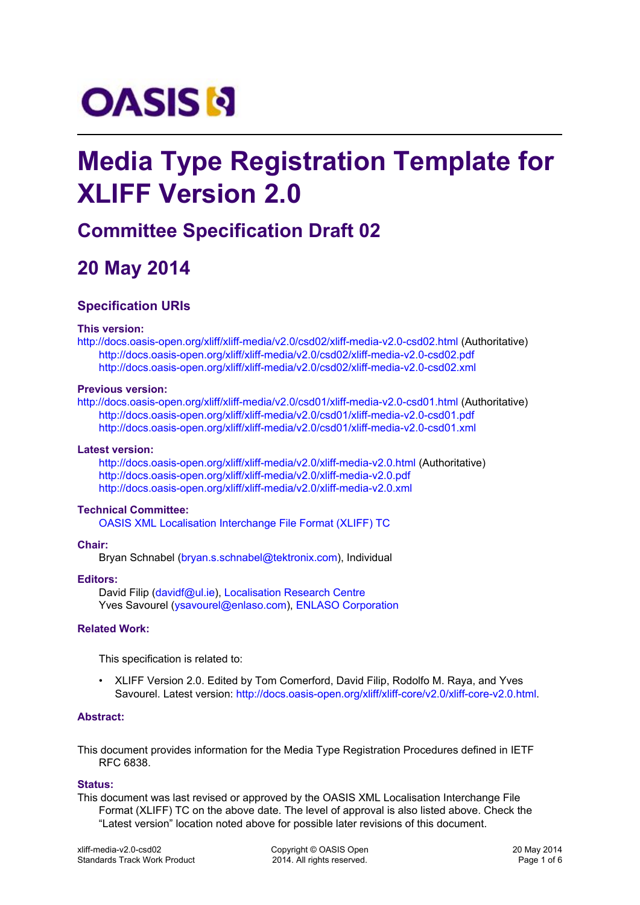# **OASIS N**

# **Media Type Registration Template for XLIFF Version 2.0**

### **Committee Specification Draft 02**

# **20 May 2014**

#### **Specification URIs**

#### **This version:**

http:[//docs.oasis-open.org/xliff/xliff-media/v2.0/csd02/xliff-media-v2.0-csd02.html \(Aut](http://docs.oasis-open.org/xliff/xliff-media/v2.0/csd02/xliff-media-v2.0-csd02.html)horitative) <http://docs.oasis-open.org/xliff/xliff-media/v2.0/csd02/xliff-media-v2.0-csd02.pdf> <http://docs.oasis-open.org/xliff/xliff-media/v2.0/csd02/xliff-media-v2.0-csd02.xml>

#### **Previous version:**

http:[//docs.oasis-open.org/xliff/xliff-media/v2.0/csd01/xliff-media-v2.0-csd01.html \(Aut](http://docs.oasis-open.org/xliff/xliff-media/v2.0/csd01/xliff-media-v2.0-csd01.html)horitative) <http://docs.oasis-open.org/xliff/xliff-media/v2.0/csd01/xliff-media-v2.0-csd01.pdf> <http://docs.oasis-open.org/xliff/xliff-media/v2.0/csd01/xliff-media-v2.0-csd01.xml>

#### **Latest version:**

<http://docs.oasis-open.org/xliff/xliff-media/v2.0/xliff-media-v2.0.html>(Authoritative) <http://docs.oasis-open.org/xliff/xliff-media/v2.0/xliff-media-v2.0.pdf> <http://docs.oasis-open.org/xliff/xliff-media/v2.0/xliff-media-v2.0.xml>

#### **Technical Committee:**

[OASIS XML Localisation Interchange File Format \(XLIFF\) TC](https://www.oasis-open.org/committees/xliff/)

#### **Chair:**

Bryan Schnabel ([bryan.s.schnabel@tektronix.com\)](mailto:bryan.s.schnabel@tektronix.com), Individual

#### **Editors:**

David Filip ([davidf@ul.ie\)](mailto:davidf@ul.ie), [Localisation Research Centre](http://www.localisation.ie/) Yves Savourel ([ysavourel@enlaso.com\)](mailto:ysavourel@enlaso.com), [ENLASO Corporation](http://www.enlaso.com/)

#### **Related Work:**

This specification is related to:

• XLIFF Version 2.0. Edited by Tom Comerford, David Filip, Rodolfo M. Raya, and Yves Savourel. Latest version: <http://docs.oasis-open.org/xliff/xliff-core/v2.0/xliff-core-v2.0.html>.

#### **Abstract:**

This document provides information for the Media Type Registration Procedures defined in IETF RFC 6838.

#### **Status:**

This document was last revised or approved by the OASIS XML Localisation Interchange File Format (XLIFF) TC on the above date. The level of approval is also listed above. Check the "Latest version" location noted above for possible later revisions of this document.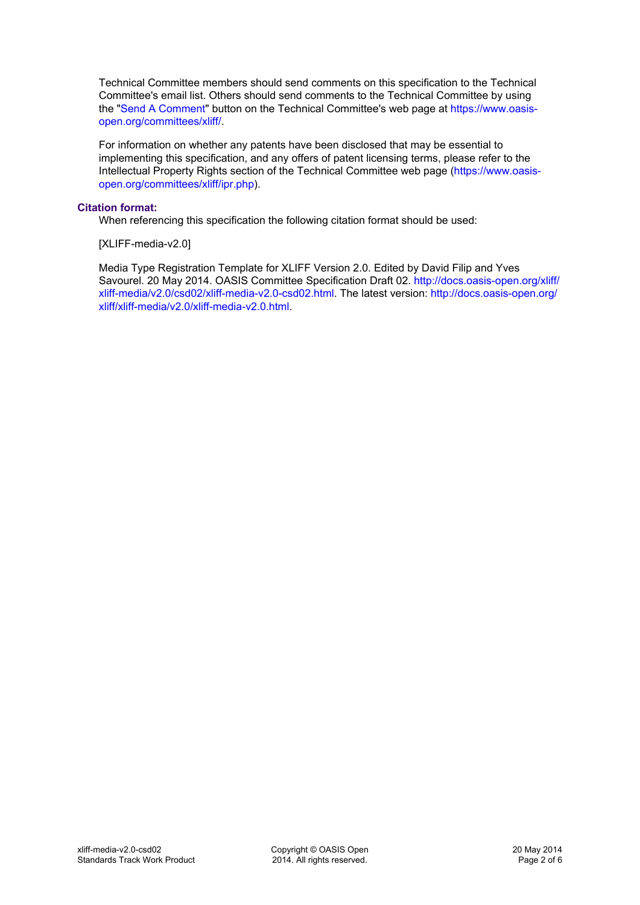Technical Committee members should send comments on this specification to the Technical Committee's email list. Others should send comments to the Technical Committee by using the ["Send A Comment](https://www.oasis-open.org/committees/comments/index.php?wg_abbrev=xliff)" button on the Technical Committee's web page at [https://www.oasis](https://www.oasis-open.org/committees/xliff/)[open.org/committees/xliff/.](https://www.oasis-open.org/committees/xliff/)

For information on whether any patents have been disclosed that may be essential to implementing this specification, and any offers of patent licensing terms, please refer to the Intellectual Property Rights section of the Technical Committee web page [\(https://www.oasis](https://www.oasis-open.org/committees/xliff/ipr.php)[open.org/committees/xliff/ipr.php](https://www.oasis-open.org/committees/xliff/ipr.php)).

#### **Citation format:**

When referencing this specification the following citation format should be used:

[XLIFF-media-v2.0]

Media Type Registration Template for XLIFF Version 2.0. Edited by David Filip and Yves Savourel. 20 May 2014. OASIS Committee Specification Draft 02. [http://docs.oasis-open.org/xliff/](http://docs.oasis-open.org/xliff/xliff-media/v2.0/csd02/xliff-media-v2.0-csd02.html) [xliff-media/v2.0/csd02/xliff-media-v2.0-csd02.html.](http://docs.oasis-open.org/xliff/xliff-media/v2.0/csd02/xliff-media-v2.0-csd02.html) The latest version: [http://docs.oasis-open.org/](http://docs.oasis-open.org/xliff/xliff-media/v2.0/xliff-media-v2.0.html) [xliff/xliff-media/v2.0/xliff-media-v2.0.html](http://docs.oasis-open.org/xliff/xliff-media/v2.0/xliff-media-v2.0.html).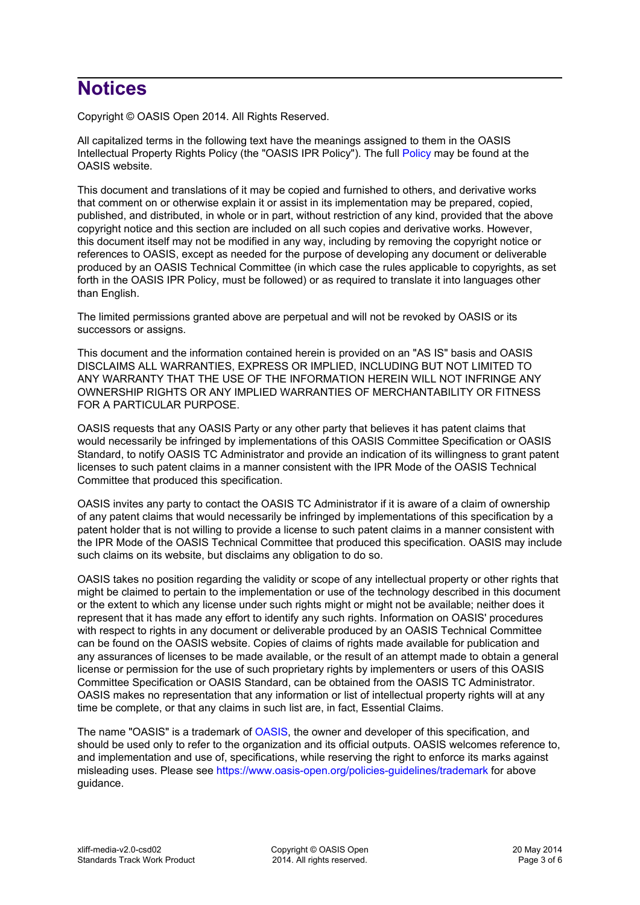## **Notices**

Copyright © OASIS Open 2014. All Rights Reserved.

All capitalized terms in the following text have the meanings assigned to them in the OASIS Intellectual Property Rights Policy (the "OASIS IPR Policy"). The full [Policy](https://www.oasis-open.org/policies-guidelines/ipr) may be found at the OASIS website.

This document and translations of it may be copied and furnished to others, and derivative works that comment on or otherwise explain it or assist in its implementation may be prepared, copied, published, and distributed, in whole or in part, without restriction of any kind, provided that the above copyright notice and this section are included on all such copies and derivative works. However, this document itself may not be modified in any way, including by removing the copyright notice or references to OASIS, except as needed for the purpose of developing any document or deliverable produced by an OASIS Technical Committee (in which case the rules applicable to copyrights, as set forth in the OASIS IPR Policy, must be followed) or as required to translate it into languages other than English.

The limited permissions granted above are perpetual and will not be revoked by OASIS or its successors or assigns.

This document and the information contained herein is provided on an "AS IS" basis and OASIS DISCLAIMS ALL WARRANTIES, EXPRESS OR IMPLIED, INCLUDING BUT NOT LIMITED TO ANY WARRANTY THAT THE USE OF THE INFORMATION HEREIN WILL NOT INFRINGE ANY OWNERSHIP RIGHTS OR ANY IMPLIED WARRANTIES OF MERCHANTABILITY OR FITNESS FOR A PARTICULAR PURPOSE.

OASIS requests that any OASIS Party or any other party that believes it has patent claims that would necessarily be infringed by implementations of this OASIS Committee Specification or OASIS Standard, to notify OASIS TC Administrator and provide an indication of its willingness to grant patent licenses to such patent claims in a manner consistent with the IPR Mode of the OASIS Technical Committee that produced this specification.

OASIS invites any party to contact the OASIS TC Administrator if it is aware of a claim of ownership of any patent claims that would necessarily be infringed by implementations of this specification by a patent holder that is not willing to provide a license to such patent claims in a manner consistent with the IPR Mode of the OASIS Technical Committee that produced this specification. OASIS may include such claims on its website, but disclaims any obligation to do so.

OASIS takes no position regarding the validity or scope of any intellectual property or other rights that might be claimed to pertain to the implementation or use of the technology described in this document or the extent to which any license under such rights might or might not be available; neither does it represent that it has made any effort to identify any such rights. Information on OASIS' procedures with respect to rights in any document or deliverable produced by an OASIS Technical Committee can be found on the OASIS website. Copies of claims of rights made available for publication and any assurances of licenses to be made available, or the result of an attempt made to obtain a general license or permission for the use of such proprietary rights by implementers or users of this OASIS Committee Specification or OASIS Standard, can be obtained from the OASIS TC Administrator. OASIS makes no representation that any information or list of intellectual property rights will at any time be complete, or that any claims in such list are, in fact, Essential Claims.

The name "OASIS" is a trademark of [OASIS,](https://www.oasis-open.org) the owner and developer of this specification, and should be used only to refer to the organization and its official outputs. OASIS welcomes reference to, and implementation and use of, specifications, while reserving the right to enforce its marks against misleading uses. Please see<https://www.oasis-open.org/policies-guidelines/trademark> for above guidance.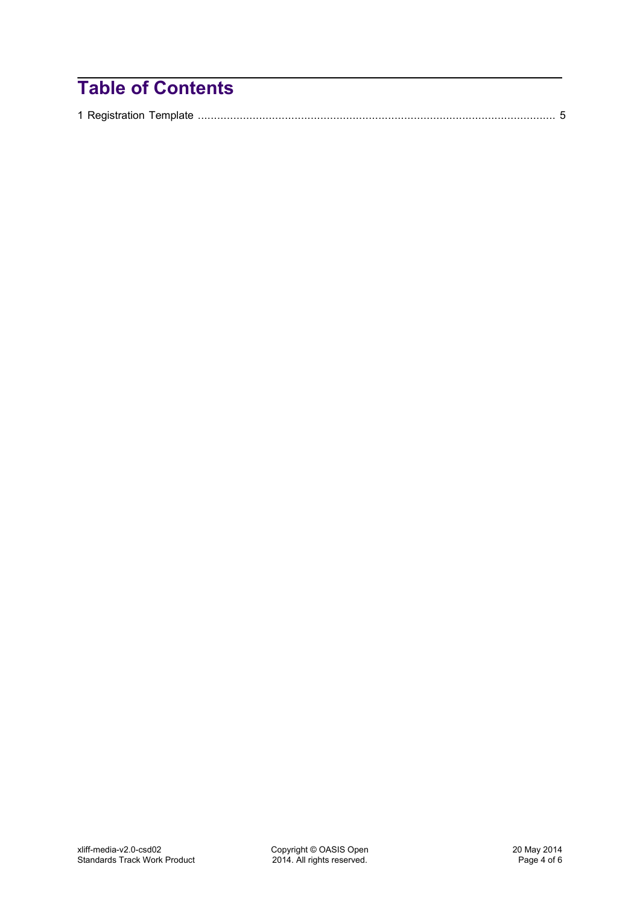# **Table of Contents**

|--|--|--|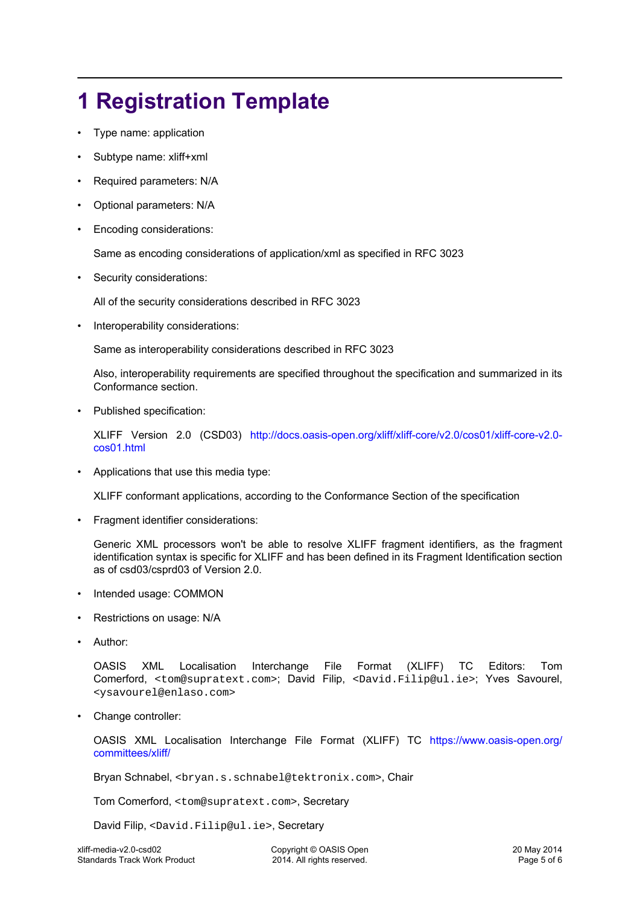# <span id="page-4-0"></span>**1 Registration Template**

- Type name: application
- Subtype name: xliff+xml
- Required parameters: N/A
- Optional parameters: N/A
- Encoding considerations:

Same as encoding considerations of application/xml as specified in RFC 3023

Security considerations:

All of the security considerations described in RFC 3023

• Interoperability considerations:

Same as interoperability considerations described in RFC 3023

Also, interoperability requirements are specified throughout the specification and summarized in its Conformance section.

Published specification:

XLIFF Version 2.0 (CSD03) [http://docs.oasis-open.org/xliff/xliff-core/v2.0/cos01/xliff-core-v2.0](http://docs.oasis-open.org/xliff/xliff-core/v2.0/cos01/xliff-core-v2.0-cos01.html) [cos01.html](http://docs.oasis-open.org/xliff/xliff-core/v2.0/cos01/xliff-core-v2.0-cos01.html)

• Applications that use this media type:

XLIFF conformant applications, according to the Conformance Section of the specification

• Fragment identifier considerations:

Generic XML processors won't be able to resolve XLIFF fragment identifiers, as the fragment identification syntax is specific for XLIFF and has been defined in its Fragment Identification section as of csd03/csprd03 of Version 2.0.

- Intended usage: COMMON
- Restrictions on usage: N/A
- Author:

OASIS XML Localisation Interchange File Format (XLIFF) TC Editors: Tom Comerford, <tom@supratext.com>; David Filip, <David.Filip@ul.ie>; Yves Savourel, <ysavourel@enlaso.com>

Change controller:

OASIS XML Localisation Interchange File Format (XLIFF) TC [https://www.oasis-open.org/](https://www.oasis-open.org/committees/xliff/) [committees/xliff/](https://www.oasis-open.org/committees/xliff/)

Bryan Schnabel, <bryan.s.schnabel@tektronix.com>, Chair

Tom Comerford, <tom@supratext.com>, Secretary

David Filip, <David.Filip@ul.ie>, Secretary